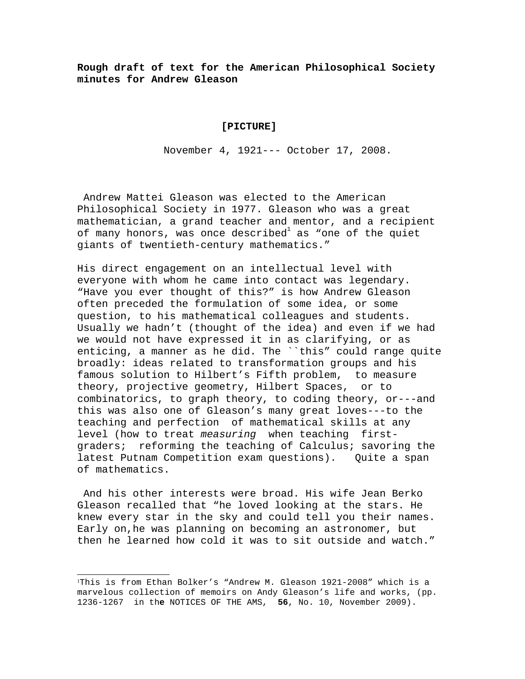**Rough draft of text for the American Philosophical Society minutes for Andrew Gleason**

## **[PICTURE]**

November 4, 1921--- October 17, 2008.

 Andrew Mattei Gleason was elected to the American Philosophical Society in 1977. Gleason who was a great mathematician, a grand teacher and mentor, and a recipient of many honors, was once described $^{\rm l}$  as "one of the quiet giants of twentieth-century mathematics."

His direct engagement on an intellectual level with everyone with whom he came into contact was legendary. "Have you ever thought of this?" is how Andrew Gleason often preceded the formulation of some idea, or some question, to his mathematical colleagues and students. Usually we hadn't (thought of the idea) and even if we had we would not have expressed it in as clarifying, or as enticing, a manner as he did. The ``this" could range quite broadly: ideas related to transformation groups and his famous solution to Hilbert's Fifth problem, to measure theory, projective geometry, Hilbert Spaces, or to combinatorics, to graph theory, to coding theory, or---and this was also one of Gleason's many great loves---to the teaching and perfection of mathematical skills at any level (how to treat measuring when teaching firstgraders; reforming the teaching of Calculus; savoring the latest Putnam Competition exam questions). Quite a span of mathematics.

 And his other interests were broad. His wife Jean Berko Gleason recalled that "he loved looking at the stars. He knew every star in the sky and could tell you their names. Early on,he was planning on becoming an astronomer, but then he learned how cold it was to sit outside and watch."

<span id="page-0-0"></span><sup>1</sup>This is from Ethan Bolker's "Andrew M. Gleason 1921-2008" which is a marvelous collection of memoirs on Andy Gleason's life and works, (pp. 1236-1267 in th**e** NOTICES OF THE AMS, **56**, No. 10, November 2009).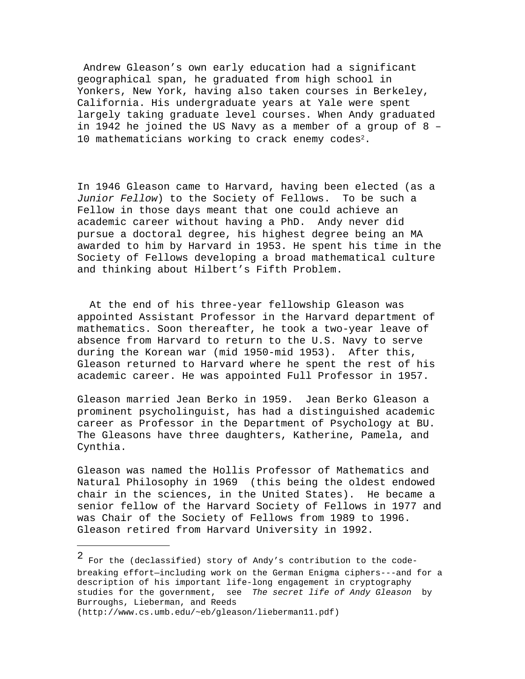Andrew Gleason's own early education had a significant geographical span, he graduated from high school in Yonkers, New York, having also taken courses in Berkeley, California. His undergraduate years at Yale were spent largely taking graduate level courses. When Andy graduated in 1942 he joined the US Navy as a member of a group of 8 – 10 mathematicians working to crack enemy codes<sup>[2](#page-1-0)</sup>.

In 1946 Gleason came to Harvard, having been elected (as a Junior Fellow) to the Society of Fellows. To be such a Fellow in those days meant that one could achieve an academic career without having a PhD. Andy never did pursue a doctoral degree, his highest degree being an MA awarded to him by Harvard in 1953. He spent his time in the Society of Fellows developing a broad mathematical culture and thinking about Hilbert's Fifth Problem.

 At the end of his three-year fellowship Gleason was appointed Assistant Professor in the Harvard department of mathematics. Soon thereafter, he took a two-year leave of absence from Harvard to return to the U.S. Navy to serve during the Korean war (mid 1950-mid 1953). After this, Gleason returned to Harvard where he spent the rest of his academic career. He was appointed Full Professor in 1957.

Gleason married Jean Berko in 1959. Jean Berko Gleason a prominent psycholinguist, has had a distinguished academic career as Professor in the Department of Psychology at BU. The Gleasons have three daughters, Katherine, Pamela, and Cynthia.

Gleason was named the Hollis Professor of Mathematics and Natural Philosophy in 1969 (this being the oldest endowed chair in the sciences, in the United States). He became a senior fellow of the Harvard Society of Fellows in 1977 and was Chair of the Society of Fellows from 1989 to 1996. Gleason retired from Harvard University in 1992.

<span id="page-1-0"></span><sup>2</sup> For the (declassified) story of Andy's contribution to the codebreaking effort—including work on the German Enigma ciphers---and for a description of his important life-long engagement in cryptography studies for the government, see The secret life of Andy Gleason by Burroughs, Lieberman, and Reeds (http://www.cs.umb.edu/~eb/gleason/lieberman11.pdf)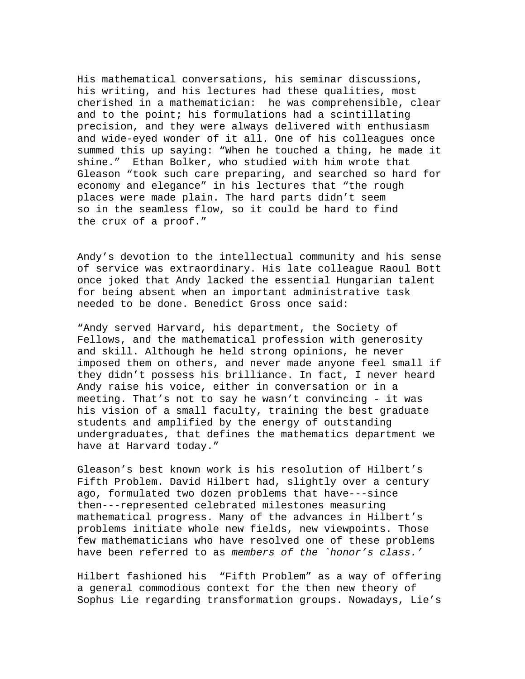His mathematical conversations, his seminar discussions, his writing, and his lectures had these qualities, most cherished in a mathematician: he was comprehensible, clear and to the point; his formulations had a scintillating precision, and they were always delivered with enthusiasm and wide-eyed wonder of it all. One of his colleagues once summed this up saying: "When he touched a thing, he made it shine." Ethan Bolker, who studied with him wrote that Gleason "took such care preparing, and searched so hard for economy and elegance" in his lectures that "the rough places were made plain. The hard parts didn't seem so in the seamless flow, so it could be hard to find the crux of a proof."

Andy's devotion to the intellectual community and his sense of service was extraordinary. His late colleague Raoul Bott once joked that Andy lacked the essential Hungarian talent for being absent when an important administrative task needed to be done. Benedict Gross once said:

"Andy served Harvard, his department, the Society of Fellows, and the mathematical profession with generosity and skill. Although he held strong opinions, he never imposed them on others, and never made anyone feel small if they didn't possess his brilliance. In fact, I never heard Andy raise his voice, either in conversation or in a meeting. That's not to say he wasn't convincing - it was his vision of a small faculty, training the best graduate students and amplified by the energy of outstanding undergraduates, that defines the mathematics department we have at Harvard today."

Gleason's best known work is his resolution of Hilbert's Fifth Problem. David Hilbert had, slightly over a century ago, formulated two dozen problems that have---since then---represented celebrated milestones measuring mathematical progress. Many of the advances in Hilbert's problems initiate whole new fields, new viewpoints. Those few mathematicians who have resolved one of these problems have been referred to as members of the `honor's class.'

Hilbert fashioned his "Fifth Problem" as a way of offering a general commodious context for the then new theory of Sophus Lie regarding transformation groups. Nowadays, Lie's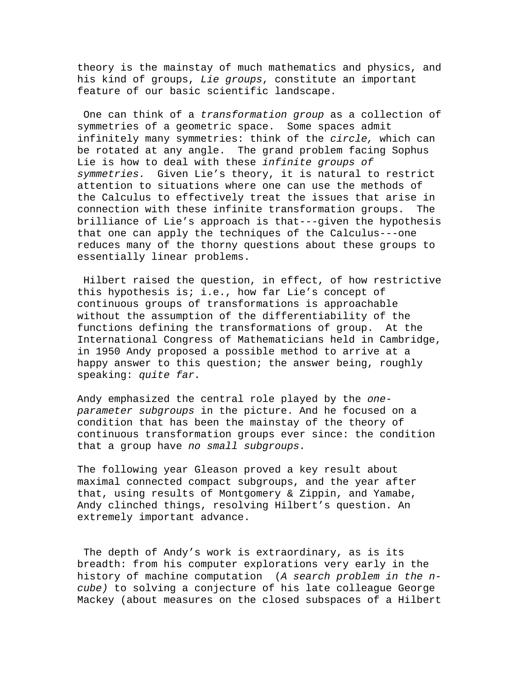theory is the mainstay of much mathematics and physics, and his kind of groups, Lie groups, constitute an important feature of our basic scientific landscape.

 One can think of a transformation group as a collection of symmetries of a geometric space. Some spaces admit infinitely many symmetries: think of the circle, which can be rotated at any angle. The grand problem facing Sophus Lie is how to deal with these infinite groups of symmetries. Given Lie's theory, it is natural to restrict attention to situations where one can use the methods of the Calculus to effectively treat the issues that arise in connection with these infinite transformation groups. The brilliance of Lie's approach is that---given the hypothesis that one can apply the techniques of the Calculus---one reduces many of the thorny questions about these groups to essentially linear problems.

 Hilbert raised the question, in effect, of how restrictive this hypothesis is; i.e., how far Lie's concept of continuous groups of transformations is approachable without the assumption of the differentiability of the functions defining the transformations of group. At the International Congress of Mathematicians held in Cambridge, in 1950 Andy proposed a possible method to arrive at a happy answer to this question; the answer being, roughly speaking: quite far.

Andy emphasized the central role played by the oneparameter subgroups in the picture. And he focused on a condition that has been the mainstay of the theory of continuous transformation groups ever since: the condition that a group have no small subgroups.

The following year Gleason proved a key result about maximal connected compact subgroups, and the year after that, using results of Montgomery & Zippin, and Yamabe, Andy clinched things, resolving Hilbert's question. An extremely important advance.

 The depth of Andy's work is extraordinary, as is its breadth: from his computer explorations very early in the history of machine computation (A search problem in the ncube) to solving a conjecture of his late colleague George Mackey (about measures on the closed subspaces of a Hilbert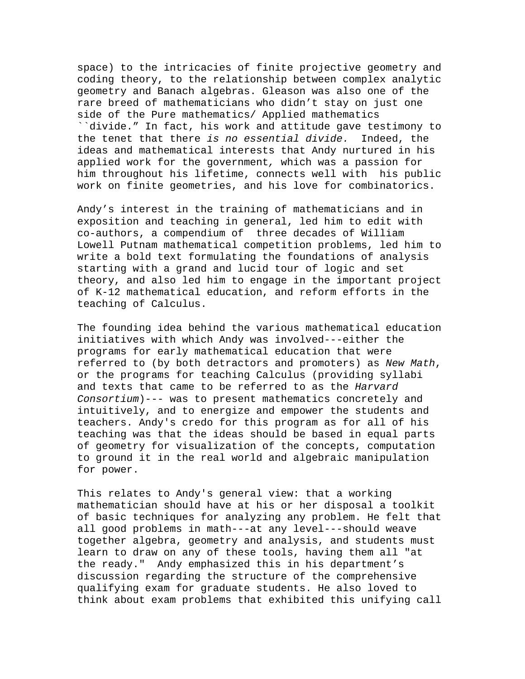space) to the intricacies of finite projective geometry and coding theory, to the relationship between complex analytic geometry and Banach algebras. Gleason was also one of the rare breed of mathematicians who didn't stay on just one side of the Pure mathematics/ Applied mathematics ``divide." In fact, his work and attitude gave testimony to the tenet that there is no essential divide. Indeed, the ideas and mathematical interests that Andy nurtured in his applied work for the government, which was a passion for him throughout his lifetime, connects well with his public work on finite geometries, and his love for combinatorics.

Andy's interest in the training of mathematicians and in exposition and teaching in general, led him to edit with co-authors, a compendium of three decades of William Lowell Putnam mathematical competition problems, led him to write a bold text formulating the foundations of analysis starting with a grand and lucid tour of logic and set theory, and also led him to engage in the important project of K-12 mathematical education, and reform efforts in the teaching of Calculus.

The founding idea behind the various mathematical education initiatives with which Andy was involved---either the programs for early mathematical education that were referred to (by both detractors and promoters) as New Math, or the programs for teaching Calculus (providing syllabi and texts that came to be referred to as the Harvard Consortium)--- was to present mathematics concretely and intuitively, and to energize and empower the students and teachers. Andy's credo for this program as for all of his teaching was that the ideas should be based in equal parts of geometry for visualization of the concepts, computation to ground it in the real world and algebraic manipulation for power.

This relates to Andy's general view: that a working mathematician should have at his or her disposal a toolkit of basic techniques for analyzing any problem. He felt that all good problems in math---at any level---should weave together algebra, geometry and analysis, and students must learn to draw on any of these tools, having them all "at the ready." Andy emphasized this in his department's discussion regarding the structure of the comprehensive qualifying exam for graduate students. He also loved to think about exam problems that exhibited this unifying call